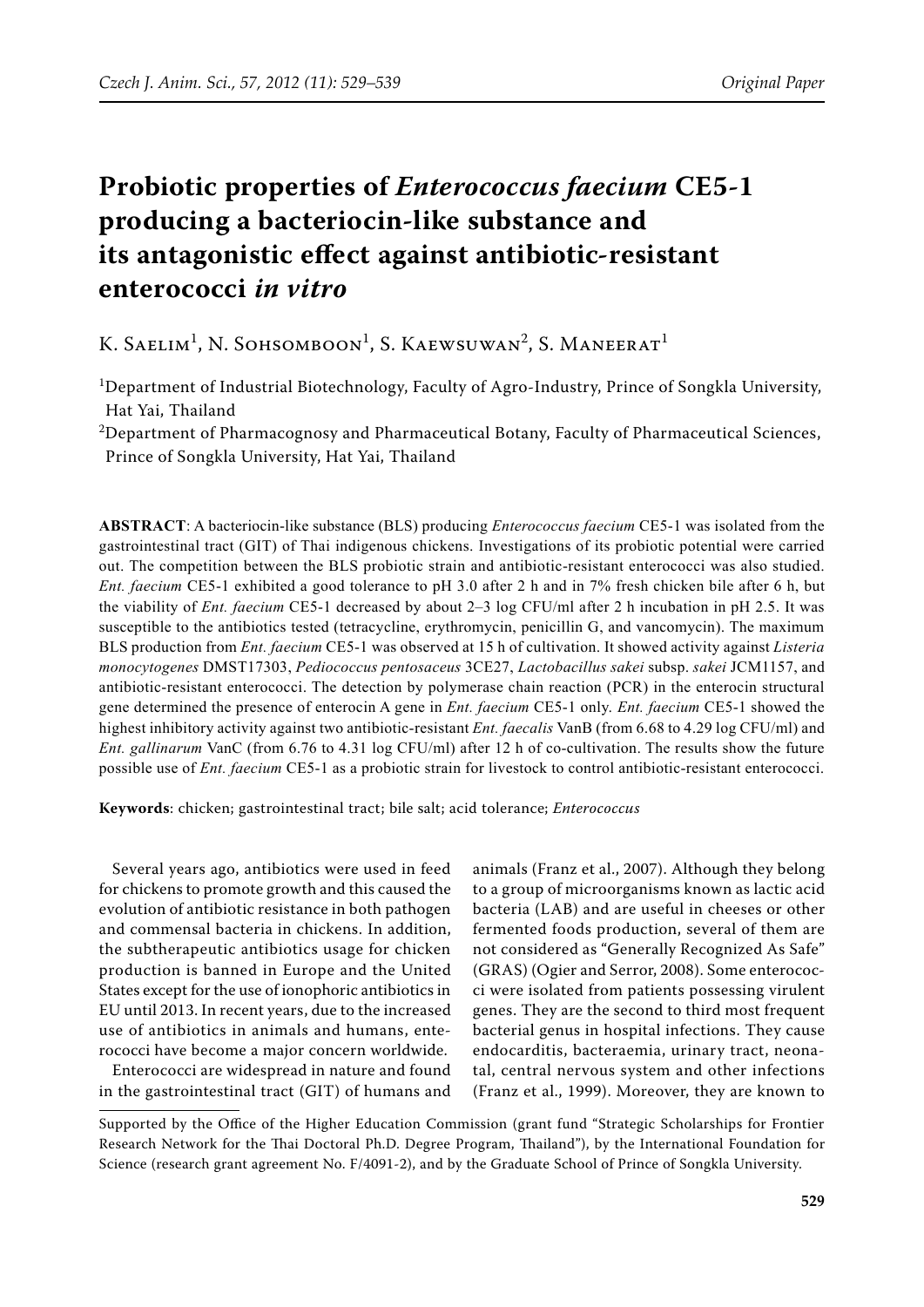# **Probiotic properties of** *Enterococcus faecium* **CE5-1 producing a bacteriocin-like substance and its antagonistic effect against antibiotic-resistant enterococci** *in vitro*

# K. Saelim<sup>1</sup>, N. Sohsomboon<sup>1</sup>, S. Kaewsuwan<sup>2</sup>, S. Maneerat<sup>1</sup>

<sup>1</sup>Department of Industrial Biotechnology, Faculty of Agro-Industry, Prince of Songkla University, Hat Yai, Thailand

 $^{2}$ Department of Pharmacognosy and Pharmaceutical Botany, Faculty of Pharmaceutical Sciences, Prince of Songkla University, Hat Yai, Thailand

**ABSTRACT**: A bacteriocin-like substance (BLS) producing *Enterococcus faecium* CE5-1 was isolated from the gastrointestinal tract (GIT) of Thai indigenous chickens. Investigations of its probiotic potential were carried out. The competition between the BLS probiotic strain and antibiotic-resistant enterococci was also studied. *Ent. faecium* CE5-1 exhibited a good tolerance to pH 3.0 after 2 h and in 7% fresh chicken bile after 6 h, but the viability of *Ent. faecium* CE5-1 decreased by about 2–3 log CFU/ml after 2 h incubation in pH 2.5. It was susceptible to the antibiotics tested (tetracycline, erythromycin, penicillin G, and vancomycin). The maximum BLS production from *Ent. faecium* CE5-1 was observed at 15 h of cultivation. It showed activity against *Listeria monocytogenes* DMST17303, *Pediococcus pentosaceus* 3CE27, *Lactobacillus sakei* subsp. *sakei* JCM1157, and antibiotic-resistant enterococci. The detection by polymerase chain reaction (PCR) in the enterocin structural gene determined the presence of enterocin A gene in *Ent. faecium* CE5-1 only. *Ent. faecium* CE5-1 showed the highest inhibitory activity against two antibiotic-resistant *Ent. faecalis* VanB (from 6.68 to 4.29 log CFU/ml) and *Ent. gallinarum* VanC (from 6.76 to 4.31 log CFU/ml) after 12 h of co-cultivation. The results show the future possible use of *Ent. faecium* CE5-1 as a probiotic strain for livestock to control antibiotic-resistant enterococci.

**Keywords**: chicken; gastrointestinal tract; bile salt; acid tolerance; *Enterococcus*

Several years ago, antibiotics were used in feed for chickens to promote growth and this caused the evolution of antibiotic resistance in both pathogen and commensal bacteria in chickens. In addition, the subtherapeutic antibiotics usage for chicken production is banned in Europe and the United States except for the use of ionophoric antibiotics in EU until 2013. In recent years, due to the increased use of antibiotics in animals and humans, enterococci have become a major concern worldwide.

Enterococci are widespread in nature and found in the gastrointestinal tract (GIT) of humans and

animals (Franz et al., 2007). Although they belong to a group of microorganisms known as lactic acid bacteria (LAB) and are useful in cheeses or other fermented foods production, several of them are not considered as "Generally Recognized As Safe" (GRAS) (Ogier and Serror, 2008). Some enterococci were isolated from patients possessing virulent genes. They are the second to third most frequent bacterial genus in hospital infections. They cause endocarditis, bacteraemia, urinary tract, neonatal, central nervous system and other infections (Franz et al., 1999). Moreover, they are known to

Supported by the Office of the Higher Education Commission (grant fund "Strategic Scholarships for Frontier Research Network for the Thai Doctoral Ph.D. Degree Program, Thailand"), by the International Foundation for Science (research grant agreement No. F/4091-2), and by the Graduate School of Prince of Songkla University.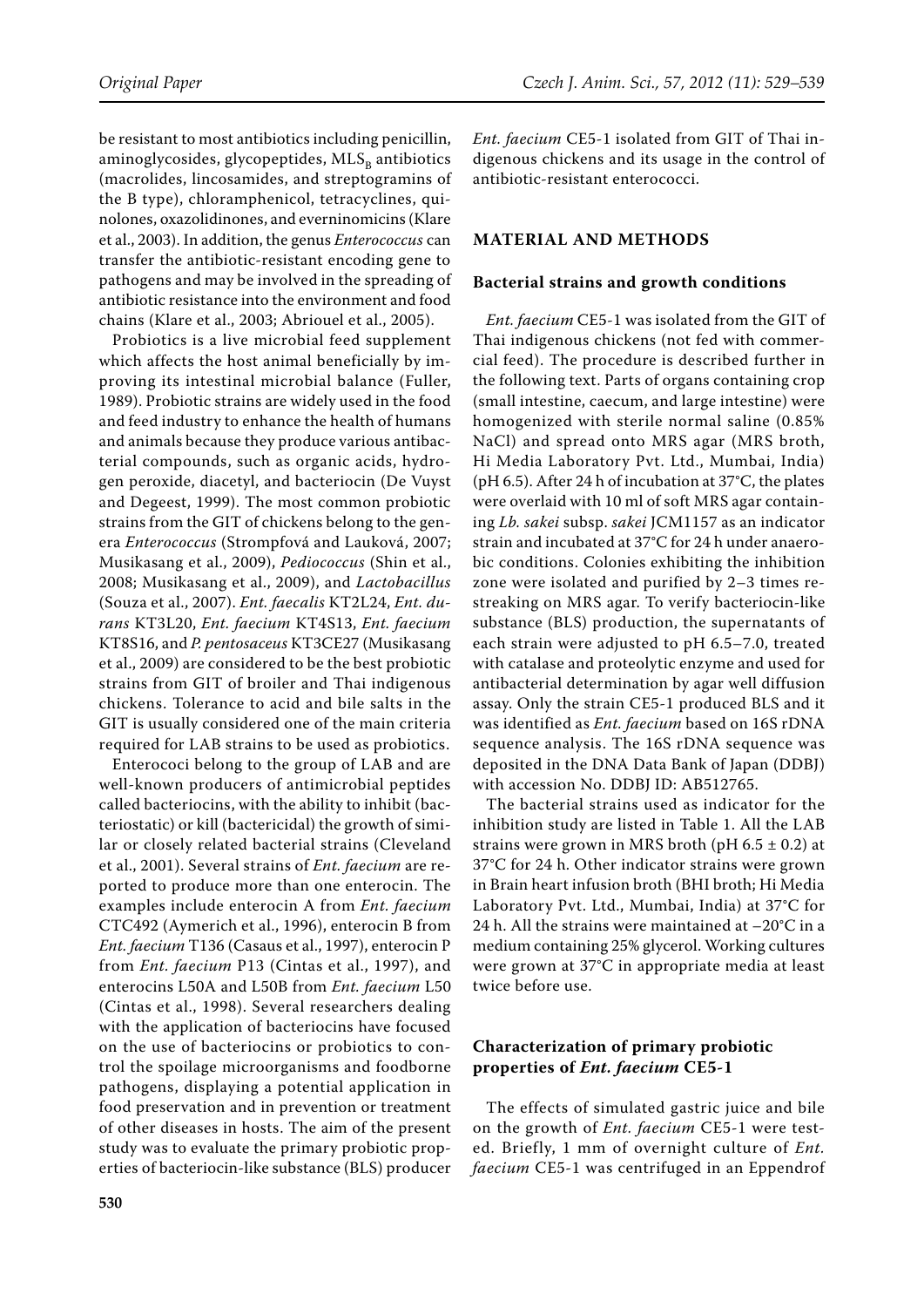be resistant to most antibiotics including penicillin, aminoglycosides, glycopeptides,  $MLS<sub>B</sub>$  antibiotics (macrolides, lincosamides, and streptogramins of the B type), chloramphenicol, tetracyclines, quinolones, oxazolidinones, and everninomicins (Klare et al., 2003). In addition, the genus *Enterococcus* can transfer the antibiotic-resistant encoding gene to pathogens and may be involved in the spreading of antibiotic resistance into the environment and food chains (Klare et al., 2003; Abriouel et al., 2005).

Probiotics is a live microbial feed supplement which affects the host animal beneficially by improving its intestinal microbial balance (Fuller, 1989). Probiotic strains are widely used in the food and feed industry to enhance the health of humans and animals because they produce various antibacterial compounds, such as organic acids, hydrogen peroxide, diacetyl, and bacteriocin (De Vuyst and Degeest, 1999). The most common probiotic strains from the GIT of chickens belong to the genera *Enterococcus* (Strompfová and Lauková, 2007; Musikasang et al., 2009), *Pediococcus* (Shin et al., 2008; Musikasang et al., 2009), and *Lactobacillus* (Souza et al., 2007). *Ent. faecalis* KT2L24, *Ent. durans* KT3L20, *Ent. faecium* KT4S13, *Ent. faecium* KT8S16, and *P. pentosaceus* KT3CE27 (Musikasang et al., 2009) are considered to be the best probiotic strains from GIT of broiler and Thai indigenous chickens. Tolerance to acid and bile salts in the GIT is usually considered one of the main criteria required for LAB strains to be used as probiotics.

Enterococi belong to the group of LAB and are well-known producers of antimicrobial peptides called bacteriocins, with the ability to inhibit (bacteriostatic) or kill (bactericidal) the growth of similar or closely related bacterial strains (Cleveland et al., 2001). Several strains of *Ent. faecium* are reported to produce more than one enterocin. The examples include enterocin A from *Ent. faecium* CTC492 (Aymerich et al., 1996), enterocin B from *Ent. faecium* T136 (Casaus et al., 1997), enterocin P from *Ent. faecium* P13 (Cintas et al., 1997), and enterocins L50A and L50B from *Ent. faecium* L50 (Cintas et al., 1998). Several researchers dealing with the application of bacteriocins have focused on the use of bacteriocins or probiotics to control the spoilage microorganisms and foodborne pathogens, displaying a potential application in food preservation and in prevention or treatment of other diseases in hosts. The aim of the present study was to evaluate the primary probiotic properties of bacteriocin-like substance (BLS) producer *Ent. faecium* CE5-1 isolated from GIT of Thai indigenous chickens and its usage in the control of antibiotic-resistant enterococci.

### **MATERIAL AND METHODS**

#### **Bacterial strains and growth conditions**

*Ent. faecium* CE5-1 was isolated from the GIT of Thai indigenous chickens (not fed with commercial feed). The procedure is described further in the following text. Parts of organs containing crop (small intestine, caecum, and large intestine) were homogenized with sterile normal saline (0.85% NaCl) and spread onto MRS agar (MRS broth, Hi Media Laboratory Pvt. Ltd., Mumbai, India) (pH 6.5). After 24 h of incubation at 37°C, the plates were overlaid with 10 ml of soft MRS agar containing *Lb. sakei* subsp. *sakei* JCM1157 as an indicator strain and incubated at 37°C for 24 h under anaerobic conditions. Colonies exhibiting the inhibition zone were isolated and purified by 2–3 times restreaking on MRS agar. To verify bacteriocin-like substance (BLS) production, the supernatants of each strain were adjusted to pH 6.5–7.0, treated with catalase and proteolytic enzyme and used for antibacterial determination by agar well diffusion assay. Only the strain CE5-1 produced BLS and it was identified as *Ent. faecium* based on 16S rDNA sequence analysis. The 16S rDNA sequence was deposited in the DNA Data Bank of Japan (DDBJ) with accession No. DDBJ ID: AB512765.

The bacterial strains used as indicator for the inhibition study are listed in Table 1. All the LAB strains were grown in MRS broth (pH  $6.5 \pm 0.2$ ) at 37°C for 24 h. Other indicator strains were grown in Brain heart infusion broth (BHI broth; Hi Media Laboratory Pvt. Ltd., Mumbai, India) at 37°C for 24 h. All the strains were maintained at  $-20^{\circ}$ C in a medium containing 25% glycerol. Working cultures were grown at 37°C in appropriate media at least twice before use.

# **Characterization of primary probiotic properties of** *Ent. faecium* **CE5-1**

The effects of simulated gastric juice and bile on the growth of *Ent. faecium* CE5-1 were tested. Briefly, 1 mm of overnight culture of *Ent. faecium* CE5-1 was centrifuged in an Eppendrof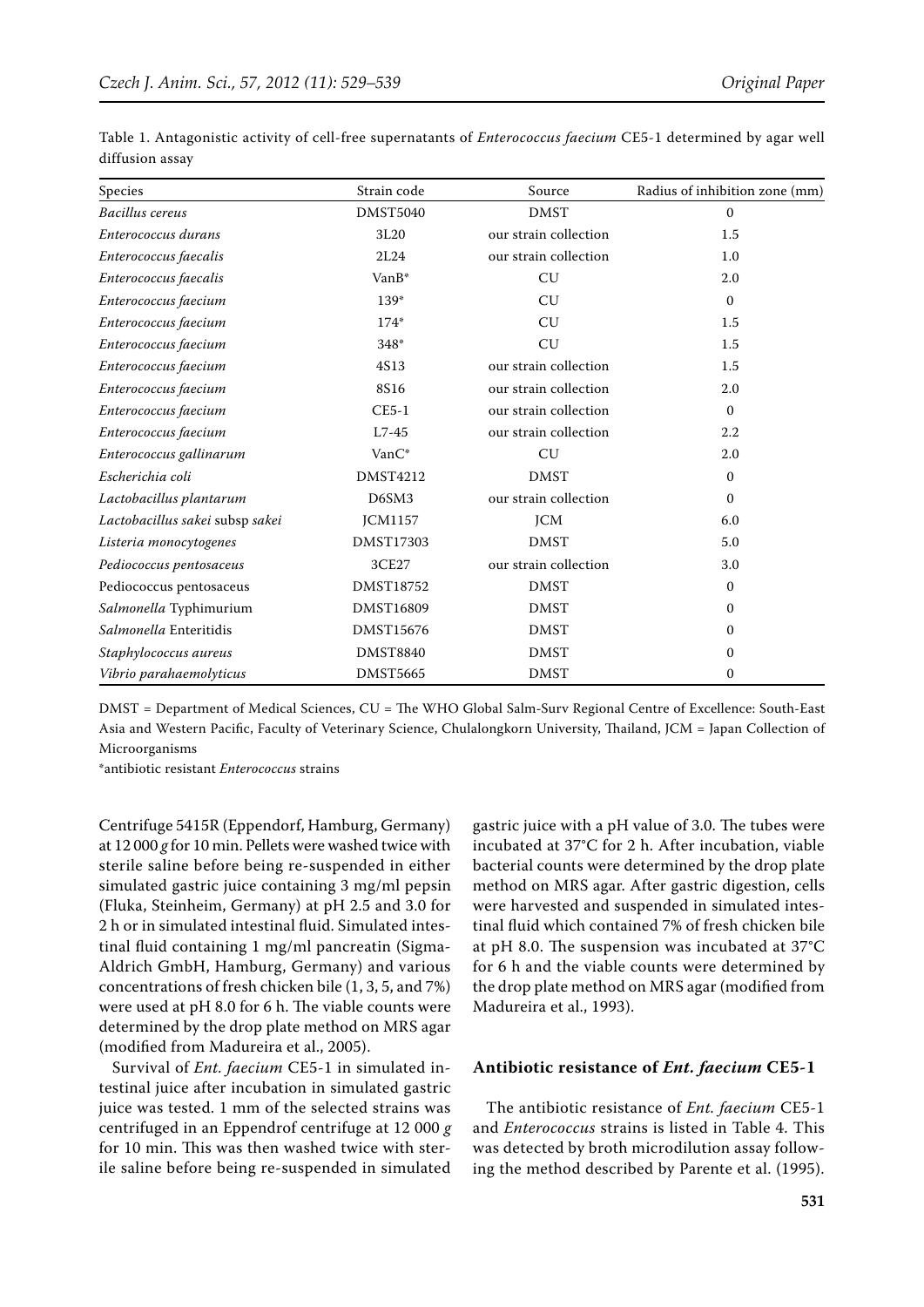| Species                         | Strain code      | Source                | Radius of inhibition zone (mm) |
|---------------------------------|------------------|-----------------------|--------------------------------|
| Bacillus cereus                 | <b>DMST5040</b>  | <b>DMST</b>           | $\mathbf{0}$                   |
| Enterococcus durans             | 3L20             | our strain collection | 1.5                            |
| Enterococcus faecalis           | 2L24             | our strain collection | 1.0                            |
| Enterococcus faecalis           | VanB*            | CU                    | 2.0                            |
| Enterococcus faecium            | $139*$           | CU                    | $\mathbf{0}$                   |
| Enterococcus faecium            | $174*$           | CU                    | 1.5                            |
| Enterococcus faecium            | 348*             | CU                    | 1.5                            |
| Enterococcus faecium            | 4S13             | our strain collection | 1.5                            |
| Enterococcus faecium            | 8S16             | our strain collection | 2.0                            |
| Enterococcus faecium            | $CE5-1$          | our strain collection | $\mathbf{0}$                   |
| Enterococcus faecium            | $L7-45$          | our strain collection | 2.2                            |
| Enterococcus gallinarum         | VanC*            | CU                    | 2.0                            |
| Escherichia coli                | <b>DMST4212</b>  | <b>DMST</b>           | $\mathbf{0}$                   |
| Lactobacillus plantarum         | D6SM3            | our strain collection | $\Omega$                       |
| Lactobacillus sakei subsp sakei | <b>JCM1157</b>   | JCM                   | 6.0                            |
| Listeria monocytogenes          | <b>DMST17303</b> | <b>DMST</b>           | 5.0                            |
| Pediococcus pentosaceus         | 3CE27            | our strain collection | 3.0                            |
| Pediococcus pentosaceus         | <b>DMST18752</b> | <b>DMST</b>           | $\mathbf{0}$                   |
| Salmonella Typhimurium          | DMST16809        | <b>DMST</b>           | $\mathbf{0}$                   |
| Salmonella Enteritidis          | DMST15676        | <b>DMST</b>           | $\mathbf{0}$                   |
| Staphylococcus aureus           | <b>DMST8840</b>  | <b>DMST</b>           | $\mathbf{0}$                   |
| Vibrio parahaemolyticus         | <b>DMST5665</b>  | <b>DMST</b>           | 0                              |

Table 1. Antagonistic activity of cell-free supernatants of *Enterococcus faecium* CE5-1 determined by agar well diffusion assay

DMST = Department of Medical Sciences, CU = The WHO Global Salm-Surv Regional Centre of Excellence: South-East Asia and Western Pacific, Faculty of Veterinary Science, Chulalongkorn University, Thailand, JCM = Japan Collection of Microorganisms

\*antibiotic resistant *Enterococcus* strains

Centrifuge 5415R (Eppendorf, Hamburg, Germany) at 12 000 *g* for 10 min. Pellets were washed twice with sterile saline before being re-suspended in either simulated gastric juice containing 3 mg/ml pepsin (Fluka, Steinheim, Germany) at pH 2.5 and 3.0 for 2 h or in simulated intestinal fluid. Simulated intestinal fluid containing 1 mg/ml pancreatin (Sigma-Aldrich GmbH, Hamburg, Germany) and various concentrations of fresh chicken bile (1, 3, 5, and 7%) were used at pH 8.0 for 6 h. The viable counts were determined by the drop plate method on MRS agar (modified from Madureira et al., 2005).

Survival of *Ent. faecium* CE5-1 in simulated intestinal juice after incubation in simulated gastric juice was tested. 1 mm of the selected strains was centrifuged in an Eppendrof centrifuge at 12 000 *g* for 10 min. This was then washed twice with sterile saline before being re-suspended in simulated

gastric juice with a pH value of 3.0. The tubes were incubated at 37°C for 2 h. After incubation, viable bacterial counts were determined by the drop plate method on MRS agar. After gastric digestion, cells were harvested and suspended in simulated intestinal fluid which contained 7% of fresh chicken bile at pH 8.0. The suspension was incubated at 37°C for 6 h and the viable counts were determined by the drop plate method on MRS agar (modified from Madureira et al., 1993).

#### **Antibiotic resistance of** *Ent. faecium* **CE5-1**

The antibiotic resistance of *Ent. faecium* CE5-1 and *Enterococcus* strains is listed in Table 4. This was detected by broth microdilution assay following the method described by Parente et al. (1995).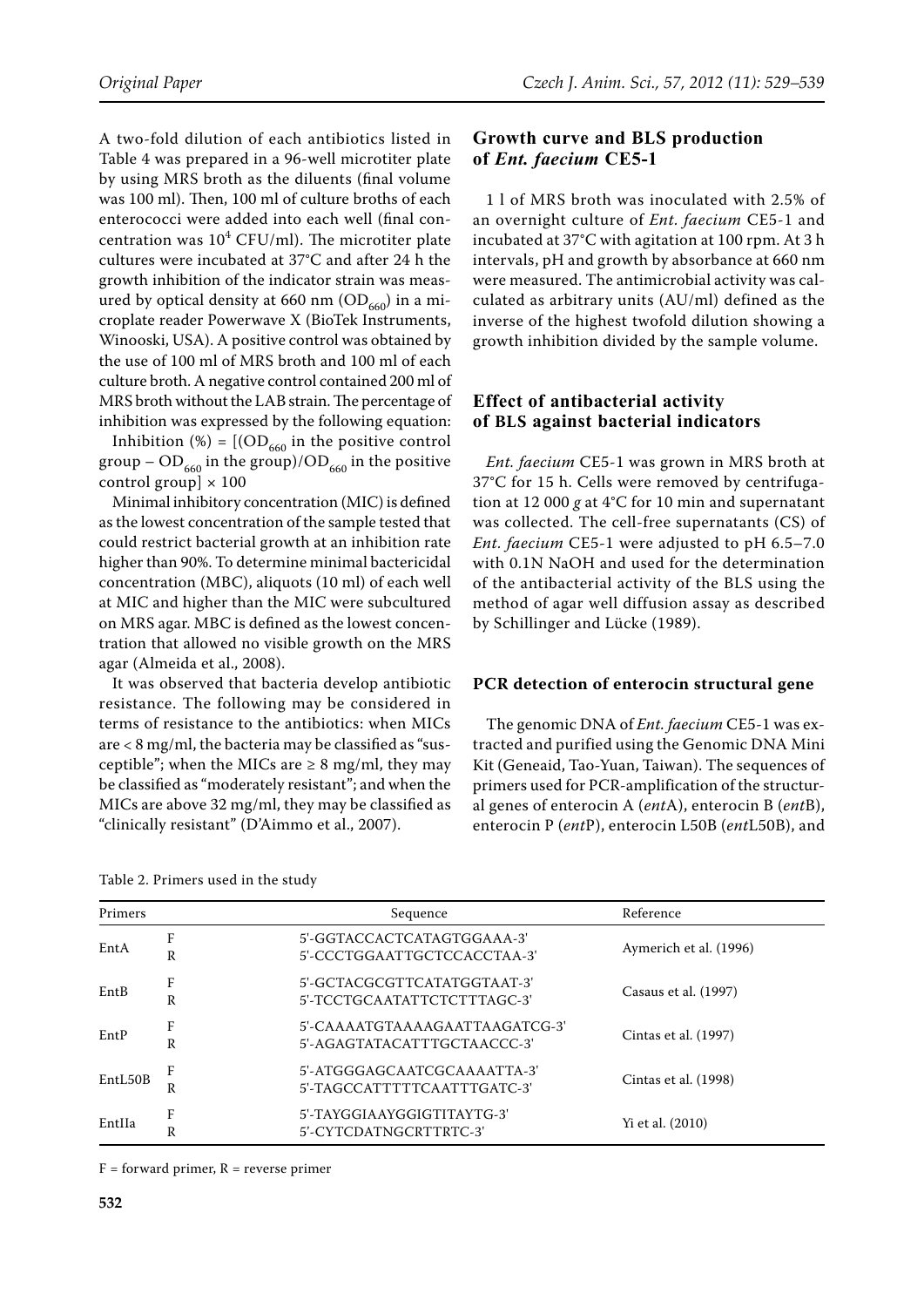A two-fold dilution of each antibiotics listed in Table 4 was prepared in a 96-well microtiter plate by using MRS broth as the diluents (final volume was 100 ml). Then, 100 ml of culture broths of each enterococci were added into each well (final concentration was  $10^4$  CFU/ml). The microtiter plate cultures were incubated at 37°C and after 24 h the growth inhibition of the indicator strain was measured by optical density at 660 nm  $(OD<sub>660</sub>)$  in a microplate reader Powerwave X (BioTek Instruments, Winooski, USA). A positive control was obtained by the use of 100 ml of MRS broth and 100 ml of each culture broth. A negative control contained 200 ml of MRS broth without the LAB strain. The percentage of inhibition was expressed by the following equation:

Inhibition (%) =  $[(OD_{660} \text{ in the positive control})]$ group –  $OD_{660}$  in the group)/ $OD_{660}$  in the positive control group]  $\times$  100

Minimal inhibitory concentration (MIC) is defined as the lowest concentration of the sample tested that could restrict bacterial growth at an inhibition rate higher than 90%. To determine minimal bactericidal concentration (MBC), aliquots (10 ml) of each well at MIC and higher than the MIC were subcultured on MRS agar. MBC is defined as the lowest concentration that allowed no visible growth on the MRS agar (Almeida et al., 2008).

It was observed that bacteria develop antibiotic resistance. The following may be considered in terms of resistance to the antibiotics: when MICs are < 8 mg/ml, the bacteria may be classified as "susceptible"; when the MICs are  $\geq 8$  mg/ml, they may be classified as "moderately resistant"; and when the MICs are above 32 mg/ml, they may be classified as "clinically resistant" (D'Aimmo et al., 2007).

| Table 2. Primers used in the study |
|------------------------------------|
|------------------------------------|

### **Growth curve and BLS production of** *Ent. faecium* **CE5-1**

1 l of MRS broth was inoculated with 2.5% of an overnight culture of *Ent. faecium* CE5-1 and incubated at 37°C with agitation at 100 rpm. At 3 h intervals, pH and growth by absorbance at 660 nm were measured. The antimicrobial activity was calculated as arbitrary units (AU/ml) defined as the inverse of the highest twofold dilution showing a growth inhibition divided by the sample volume.

# **Effect of antibacterial activity of BLS against bacterial indicators**

*Ent. faecium* CE5-1 was grown in MRS broth at 37°C for 15 h. Cells were removed by centrifugation at 12 000 *g* at 4°C for 10 min and supernatant was collected. The cell-free supernatants (CS) of *Ent. faecium* CE5-1 were adjusted to pH 6.5–7.0 with 0.1N NaOH and used for the determination of the antibacterial activity of the BLS using the method of agar well diffusion assay as described by Schillinger and Lücke (1989).

#### **PCR detection of enterocin structural gene**

The genomic DNA of *Ent. faecium* CE5-1 was extracted and purified using the Genomic DNA Mini Kit (Geneaid, Tao-Yuan, Taiwan). The sequences of primers used for PCR-amplification of the structural genes of enterocin A (*ent*A), enterocin B (*ent*B), enterocin P (*ent*P), enterocin L50B (*ent*L50B), and

| Primers |        | Sequence                                                      | Reference              |
|---------|--------|---------------------------------------------------------------|------------------------|
| EntA    | F<br>R | 5'-GGTACCACTCATAGTGGAAA-3'<br>5'-CCCTGGAATTGCTCCACCTAA-3'     | Aymerich et al. (1996) |
| EntB    | F<br>R | 5'-GCTACGCGTTCATATGGTAAT-3'<br>5'-TCCTGCAATATTCTCTTTAGC-3'    | Casaus et al. (1997)   |
| EntP    | F<br>R | 5'-CAAAATGTAAAAGAATTAAGATCG-3'<br>5'-AGAGTATACATTTGCTAACCC-3' | Cintas et al. (1997)   |
| EntL50B | F<br>R | 5'-ATGGGAGCAATCGCAAAATTA-3'<br>5'-TAGCCATTTTTCAATTTGATC-3'    | Cintas et al. (1998)   |
| EntIIa  | F<br>R | 5'-TAYGGIAAYGGIGTITAYTG-3'<br>5'-CYTCDATNGCRTTRTC-3'          | Yi et al. (2010)       |

 $F =$  forward primer,  $R =$  reverse primer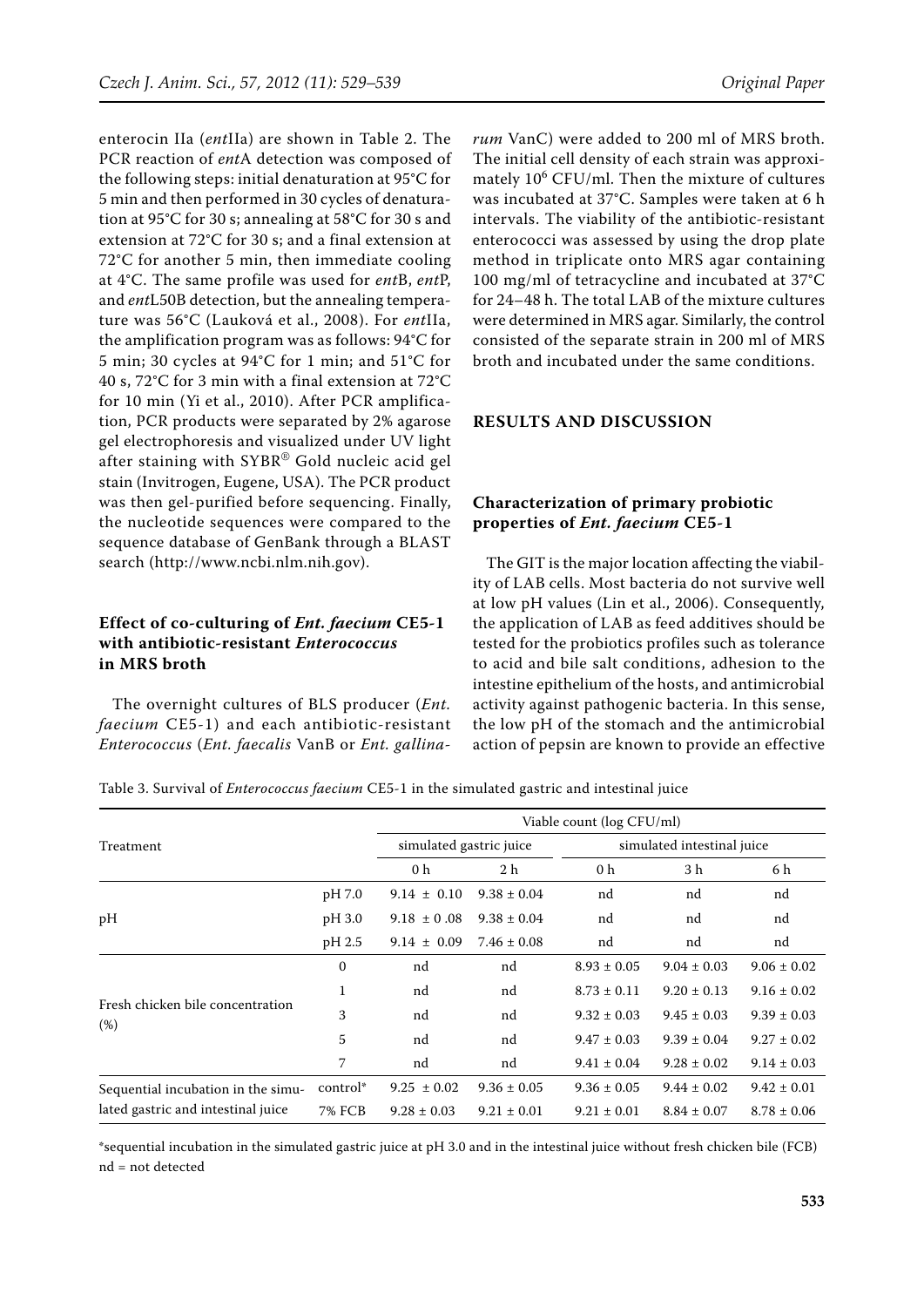enterocin IIa (*ent*IIa) are shown in Table 2. The PCR reaction of *ent*A detection was composed of the following steps: initial denaturation at 95°C for 5 min and then performed in 30 cycles of denaturation at 95°C for 30 s; annealing at 58°C for 30 s and extension at 72°C for 30 s; and a final extension at 72°C for another 5 min, then immediate cooling at 4°C. The same profile was used for *ent*B, *ent*P, and *ent*L50B detection, but the annealing temperature was 56°C (Lauková et al., 2008). For *ent*IIa, the amplification program was as follows: 94°C for 5 min; 30 cycles at 94°C for 1 min; and 51°C for 40 s, 72°C for 3 min with a final extension at 72°C for 10 min (Yi et al., 2010). After PCR amplification, PCR products were separated by 2% agarose gel electrophoresis and visualized under UV light after staining with SYBR® Gold nucleic acid gel stain (Invitrogen, Eugene, USA). The PCR product was then gel-purified before sequencing. Finally, the nucleotide sequences were compared to the sequence database of GenBank through a BLAST search (http://www.ncbi.nlm.nih.gov).

# **Effect of co-culturing of** *Ent. faecium* **CE5-1 with antibiotic-resistant** *Enterococcus* **in MRS broth**

The overnight cultures of BLS producer (*Ent. faecium* CE5-1) and each antibiotic-resistant *Enterococcus* (*Ent. faecalis* VanB or *Ent. gallina-* *rum* VanC) were added to 200 ml of MRS broth. The initial cell density of each strain was approximately 10<sup>6</sup> CFU/ml. Then the mixture of cultures was incubated at 37°C. Samples were taken at 6 h intervals. The viability of the antibiotic-resistant enterococci was assessed by using the drop plate method in triplicate onto MRS agar containing 100 mg/ml of tetracycline and incubated at 37°C for 24–48 h. The total LAB of the mixture cultures were determined in MRS agar. Similarly, the control consisted of the separate strain in 200 ml of MRS broth and incubated under the same conditions.

#### **RESULTS AND DISCUSSION**

#### **Characterization of primary probiotic properties of** *Ent. faecium* **CE5-1**

The GIT is the major location affecting the viability of LAB cells. Most bacteria do not survive well at low pH values (Lin et al., 2006). Consequently, the application of LAB as feed additives should be tested for the probiotics profiles such as tolerance to acid and bile salt conditions, adhesion to the intestine epithelium of the hosts, and antimicrobial activity against pathogenic bacteria. In this sense, the low pH of the stomach and the antimicrobial action of pepsin are known to provide an effective

Table 3. Survival of *Enterococcus faecium* CE5-1 in the simulated gastric and intestinal juice

|                                    |          |                         |                 | Viable count (log CFU/ml) |                            |                 |
|------------------------------------|----------|-------------------------|-----------------|---------------------------|----------------------------|-----------------|
| Treatment                          |          | simulated gastric juice |                 |                           | simulated intestinal juice |                 |
|                                    |          | 0 <sub>h</sub>          | 2 h             | 0 h                       | 3 h                        | 6 h             |
|                                    | pH 7.0   | $9.14 \pm 0.10$         | $9.38 \pm 0.04$ | nd                        | nd                         | nd              |
| pН                                 | pH 3.0   | $9.18 \pm 0.08$         | $9.38 \pm 0.04$ | nd                        | nd                         | nd              |
|                                    | pH 2.5   | $9.14 \pm 0.09$         | $7.46 \pm 0.08$ | nd                        | nd                         | nd              |
|                                    | 0        | nd                      | nd              | $8.93 \pm 0.05$           | $9.04 \pm 0.03$            | $9.06 \pm 0.02$ |
|                                    | 1        | nd                      | nd              | $8.73 \pm 0.11$           | $9.20 \pm 0.13$            | $9.16 \pm 0.02$ |
| Fresh chicken bile concentration   | 3        | nd                      | nd              | $9.32 \pm 0.03$           | $9.45 \pm 0.03$            | $9.39 \pm 0.03$ |
| (%)                                | 5        | nd                      | nd              | $9.47 \pm 0.03$           | $9.39 \pm 0.04$            | $9.27 \pm 0.02$ |
|                                    | 7        | nd                      | nd              | $9.41 \pm 0.04$           | $9.28 \pm 0.02$            | $9.14 \pm 0.03$ |
| Sequential incubation in the simu- | control* | $9.25 \pm 0.02$         | $9.36 \pm 0.05$ | $9.36 \pm 0.05$           | $9.44 \pm 0.02$            | $9.42 \pm 0.01$ |
| lated gastric and intestinal juice | 7% FCB   | $9.28 \pm 0.03$         | $9.21 \pm 0.01$ | $9.21 \pm 0.01$           | $8.84 \pm 0.07$            | $8.78 \pm 0.06$ |

\*sequential incubation in the simulated gastric juice at pH 3.0 and in the intestinal juice without fresh chicken bile (FCB) nd = not detected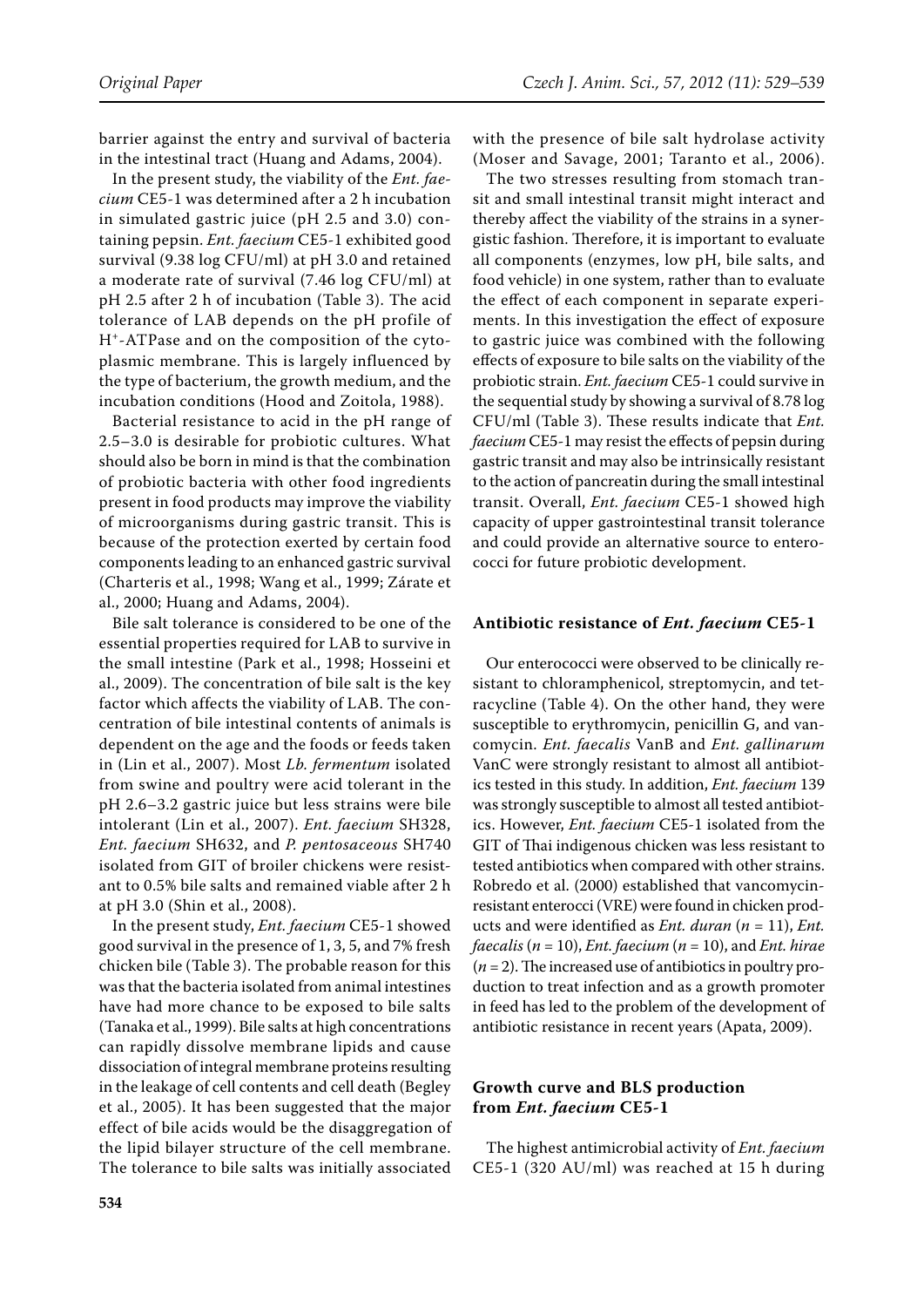barrier against the entry and survival of bacteria in the intestinal tract (Huang and Adams, 2004).

In the present study, the viability of the *Ent. faecium* CE5-1 was determined after a 2 h incubation in simulated gastric juice (pH 2.5 and 3.0) containing pepsin. *Ent. faecium* CE5-1 exhibited good survival (9.38 log CFU/ml) at pH 3.0 and retained a moderate rate of survival (7.46 log CFU/ml) at pH 2.5 after 2 h of incubation (Table 3). The acid tolerance of LAB depends on the pH profile of H+-ATPase and on the composition of the cytoplasmic membrane. This is largely influenced by the type of bacterium, the growth medium, and the incubation conditions (Hood and Zoitola, 1988).

Bacterial resistance to acid in the pH range of 2.5–3.0 is desirable for probiotic cultures. What should also be born in mind is that the combination of probiotic bacteria with other food ingredients present in food products may improve the viability of microorganisms during gastric transit. This is because of the protection exerted by certain food components leading to an enhanced gastric survival (Charteris et al., 1998; Wang et al., 1999; Zárate et al., 2000; Huang and Adams, 2004).

Bile salt tolerance is considered to be one of the essential properties required for LAB to survive in the small intestine (Park et al., 1998; Hosseini et al., 2009). The concentration of bile salt is the key factor which affects the viability of LAB. The concentration of bile intestinal contents of animals is dependent on the age and the foods or feeds taken in (Lin et al., 2007). Most *Lb. fermentum* isolated from swine and poultry were acid tolerant in the pH 2.6–3.2 gastric juice but less strains were bile intolerant (Lin et al., 2007). *Ent. faecium* SH328, *Ent. faecium* SH632, and *P. pentosaceous* SH740 isolated from GIT of broiler chickens were resistant to 0.5% bile salts and remained viable after 2 h at pH 3.0 (Shin et al., 2008).

In the present study, *Ent. faecium* CE5-1 showed good survival in the presence of 1, 3, 5, and 7% fresh chicken bile (Table 3). The probable reason for this was that the bacteria isolated from animal intestines have had more chance to be exposed to bile salts (Tanaka et al., 1999). Bile salts at high concentrations can rapidly dissolve membrane lipids and cause dissociation of integral membrane proteins resulting in the leakage of cell contents and cell death (Begley et al., 2005). It has been suggested that the major effect of bile acids would be the disaggregation of the lipid bilayer structure of the cell membrane. The tolerance to bile salts was initially associated with the presence of bile salt hydrolase activity (Moser and Savage, 2001; Taranto et al., 2006).

The two stresses resulting from stomach transit and small intestinal transit might interact and thereby affect the viability of the strains in a synergistic fashion. Therefore, it is important to evaluate all components (enzymes, low pH, bile salts, and food vehicle) in one system, rather than to evaluate the effect of each component in separate experiments. In this investigation the effect of exposure to gastric juice was combined with the following effects of exposure to bile salts on the viability of the probiotic strain. *Ent. faecium* CE5-1 could survive in the sequential study by showing a survival of 8.78 log CFU/ml (Table 3). These results indicate that *Ent. faecium* CE5-1 may resist the effects of pepsin during gastric transit and may also be intrinsically resistant to the action of pancreatin during the small intestinal transit. Overall, *Ent. faecium* CE5-1 showed high capacity of upper gastrointestinal transit tolerance and could provide an alternative source to enterococci for future probiotic development.

#### **Antibiotic resistance of** *Ent. faecium* **CE5-1**

Our enterococci were observed to be clinically resistant to chloramphenicol, streptomycin, and tetracycline (Table 4). On the other hand, they were susceptible to erythromycin, penicillin G, and vancomycin. *Ent. faecalis* VanB and *Ent. gallinarum* VanC were strongly resistant to almost all antibiotics tested in this study. In addition, *Ent. faecium* 139 was strongly susceptible to almost all tested antibiotics. However, *Ent. faecium* CE5-1 isolated from the GIT of Thai indigenous chicken was less resistant to tested antibiotics when compared with other strains. Robredo et al. (2000) established that vancomycinresistant enterocci (VRE) were found in chicken products and were identified as *Ent. duran* (*n* = 11), *Ent. faecalis* (*n* = 10), *Ent. faecium* (*n* = 10), and *Ent. hirae* (*n* = 2). The increased use of antibiotics in poultry production to treat infection and as a growth promoter in feed has led to the problem of the development of antibiotic resistance in recent years (Apata, 2009).

#### **Growth curve and BLS production from** *Ent. faecium* **CE5-1**

The highest antimicrobial activity of *Ent. faecium* CE5-1 (320 AU/ml) was reached at 15 h during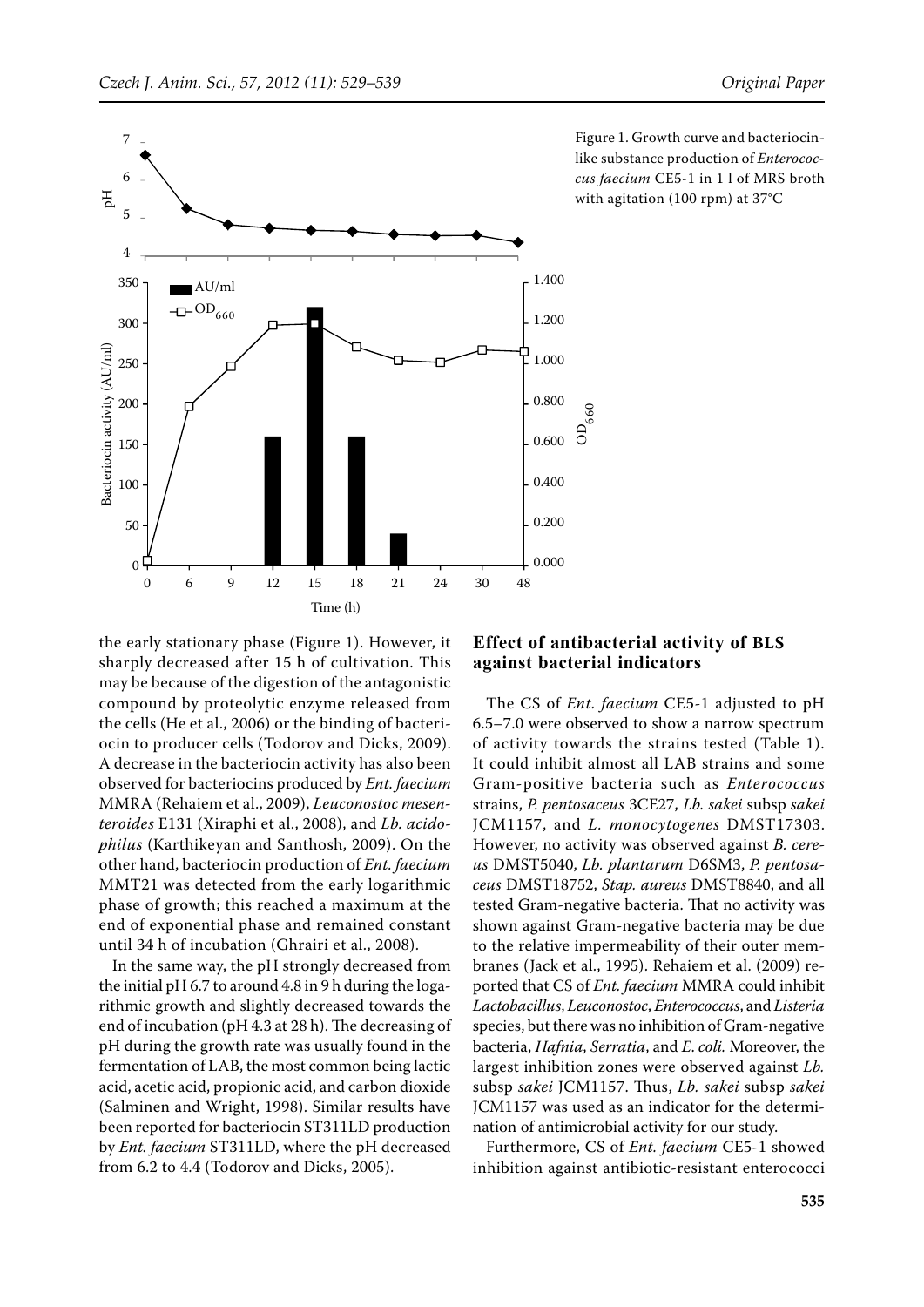

Figure 1. Growth curve and bacteriocinlike substance production of *Enterococcus faecium* CE5-1 in 1 l of MRS broth with agitation (100 rpm) at 37°C

the early stationary phase (Figure 1). However, it sharply decreased after 15 h of cultivation. This may be because of the digestion of the antagonistic compound by proteolytic enzyme released from the cells (He et al., 2006) or the binding of bacteriocin to producer cells (Todorov and Dicks, 2009). A decrease in the bacteriocin activity has also been observed for bacteriocins produced by *Ent. faecium* MMRA (Rehaiem et al., 2009), *Leuconostoc mesenteroides* E131 (Xiraphi et al., 2008), and *Lb. acidophilus* (Karthikeyan and Santhosh, 2009). On the other hand, bacteriocin production of *Ent. faecium* MMT21 was detected from the early logarithmic phase of growth; this reached a maximum at the end of exponential phase and remained constant until 34 h of incubation (Ghrairi et al., 2008).

In the same way, the pH strongly decreased from the initial pH 6.7 to around 4.8 in 9 h during the logarithmic growth and slightly decreased towards the end of incubation (pH 4.3 at 28 h). The decreasing of pH during the growth rate was usually found in the fermentation of LAB, the most common being lactic acid, acetic acid, propionic acid, and carbon dioxide (Salminen and Wright, 1998). Similar results have been reported for bacteriocin ST311LD production by *Ent. faecium* ST311LD, where the pH decreased from 6.2 to 4.4 (Todorov and Dicks, 2005).

# **Effect of antibacterial activity of BLS against bacterial indicators**

D660

The CS of *Ent. faecium* CE5-1 adjusted to pH 6.5–7.0 were observed to show a narrow spectrum of activity towards the strains tested (Table 1). It could inhibit almost all LAB strains and some Gram-positive bacteria such as *Enterococcus*  strains, *P. pentosaceus* 3CE27, *Lb. sakei* subsp *sakei* JCM1157, and *L. monocytogenes* DMST17303. However, no activity was observed against *B. cereus* DMST5040, *Lb. plantarum* D6SM3, *P. pentosaceus* DMST18752, *Stap. aureus* DMST8840, and all tested Gram-negative bacteria. That no activity was shown against Gram-negative bacteria may be due to the relative impermeability of their outer membranes (Jack et al., 1995). Rehaiem et al. (2009) reported that CS of *Ent. faecium* MMRA could inhibit *Lactobacillus*, *Leuconostoc*, *Enterococcus*, and *Listeria* species, but there was no inhibition of Gram-negative bacteria, *Hafnia*, *Serratia*, and *E*. *coli.* Moreover, the largest inhibition zones were observed against *Lb.*  subsp *sakei* JCM1157. Thus, *Lb. sakei* subsp *sakei* JCM1157 was used as an indicator for the determination of antimicrobial activity for our study.

Furthermore, CS of *Ent. faecium* CE5-1 showed inhibition against antibiotic-resistant enterococci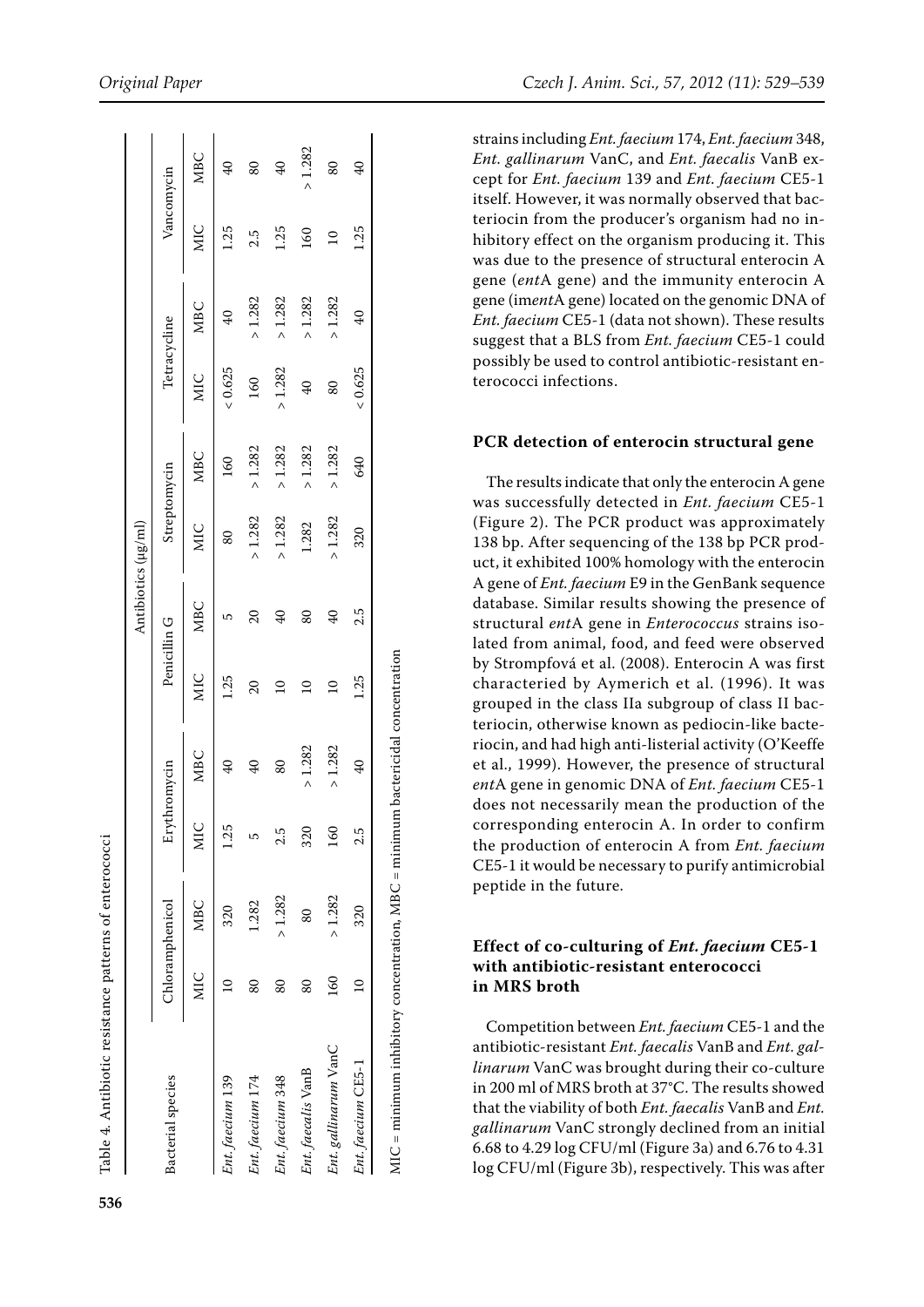|                      |                    |                 |      |                          |                 |                 | Antibiotics (µg/ml) |              |                 |                |                |                 |
|----------------------|--------------------|-----------------|------|--------------------------|-----------------|-----------------|---------------------|--------------|-----------------|----------------|----------------|-----------------|
| Bacterial species    |                    | Chloramphenicol |      | Erythromycin             |                 | Penicillin G    |                     | Streptomycin | Tetracycline    |                |                | Vancomycin      |
|                      | MIC                | MBC             | MIC  | <b>MBC</b>               | MIC             | <b>MBC</b>      | <b>MIC</b>          | MBC          | MIC             | <b>MBC</b>     | <b>MIC</b>     | <b>MBC</b>      |
| Ent. faecium 139     |                    | 320             | 1.25 | G                        | 1.25            | 5               | 80                  | 160          | & 0.625         | 40             | 1.25           | $\frac{1}{4}$   |
| Ent. faecium 174     | $\scriptstyle{80}$ | 1.282           | 5    | $\frac{1}{2}$            | 20              | $\overline{20}$ | > 1.282             | $>1.282$     | 160             | > 1.282        | 2.5            | 80              |
| Ent. faecium 348     | 80                 | >1.282          | 2.5  | 80                       | $\overline{a}$  | $\mathcal{L}$   | > 1.282             | $>1.282$     | > 1.282         | >1.282         | 1.25           | $\overline{40}$ |
| Ent. faecalis VanB   | 80                 | 80              | 320  | >1.282                   | $\overline{10}$ | 80              | 1.282               | $>1.282$     | $\overline{40}$ | > 1.282        | $^{160}$       | $-1.282$        |
| Ent. gallinarum VanC | 160                | >1.282          | 160  | >1.282                   | $\overline{a}$  | $\overline{6}$  | >1.282              | > 1.282      | 80              | > 1.282        | $\overline{a}$ | 80              |
| Ent. faecium CE5-1   | $\Xi$              | 320             | 2.5  | $\overline{\mathcal{L}}$ | 1.25            | 2.5             | 320                 | 640          | 0.625           | $\overline{6}$ | 1.25           | 40              |

strains including *Ent. faecium* 174, *Ent. faecium* 348, *Ent. gallinarum* VanC, and *Ent. faecalis* VanB ex cept for *Ent. faecium* 139 and *Ent. faecium* CE5-1 itself. However, it was normally observed that bac teriocin from the producer's organism had no in hibitory effect on the organism producing it. This was due to the presence of structural enterocin A gene (*ent*A gene) and the immunity enterocin A gene (im*ent*A gene) located on the genomic DNA of *Ent. faecium* CE5-1 (data not shown). These results suggest that a BLS from *Ent. faecium* CE5-1 could possibly be used to control antibiotic-resistant en terococci infections.

#### **PCR detection of enterocin structural gene**

The results indicate that only the enterocin A gene was successfully detected in *Ent. faecium* CE5-1 (Figure 2). The PCR product was approximately 138 bp. After sequencing of the 138 bp PCR prod uct, it exhibited 100% homology with the enterocin A gene of *Ent. faecium* E9 in the GenBank sequence database. Similar results showing the presence of structural *ent*A gene in *Enterococcus* strains iso lated from animal, food, and feed were observed by Strompfová et al. (2008). Enterocin A was first characteried by Aymerich et al. (1996). It was grouped in the class IIa subgroup of class II bac teriocin, otherwise known as pediocin-like bacte riocin, and had high anti-listerial activity (O'Keeffe et al., 1999). However, the presence of structural *ent*A gene in genomic DNA of *Ent. faecium* CE5-1 does not necessarily mean the production of the corresponding enterocin A. In order to confirm the production of enterocin A from *Ent. faecium* CE5-1 it would be necessary to purify antimicrobial peptide in the future.

# **Effect of co-culturing of** *Ent. faecium* **CE5-1 with antibiotic-resistant enterococci in MRS broth**

Competition between *Ent. faecium* CE5-1 and the antibiotic-resistant *Ent. faecalis* VanB and *Ent. gal linarum* VanC was brought during their co-culture in 200 ml of MRS broth at 37°C. The results showed that the viability of both *Ent. faecalis* VanB and *Ent. gallinarum* VanC strongly declined from an initial 6.68 to 4.29 log CFU/ml (Figure 3a) and 6.76 to 4.31 log CFU/ml (Figure 3b), respectively. This was after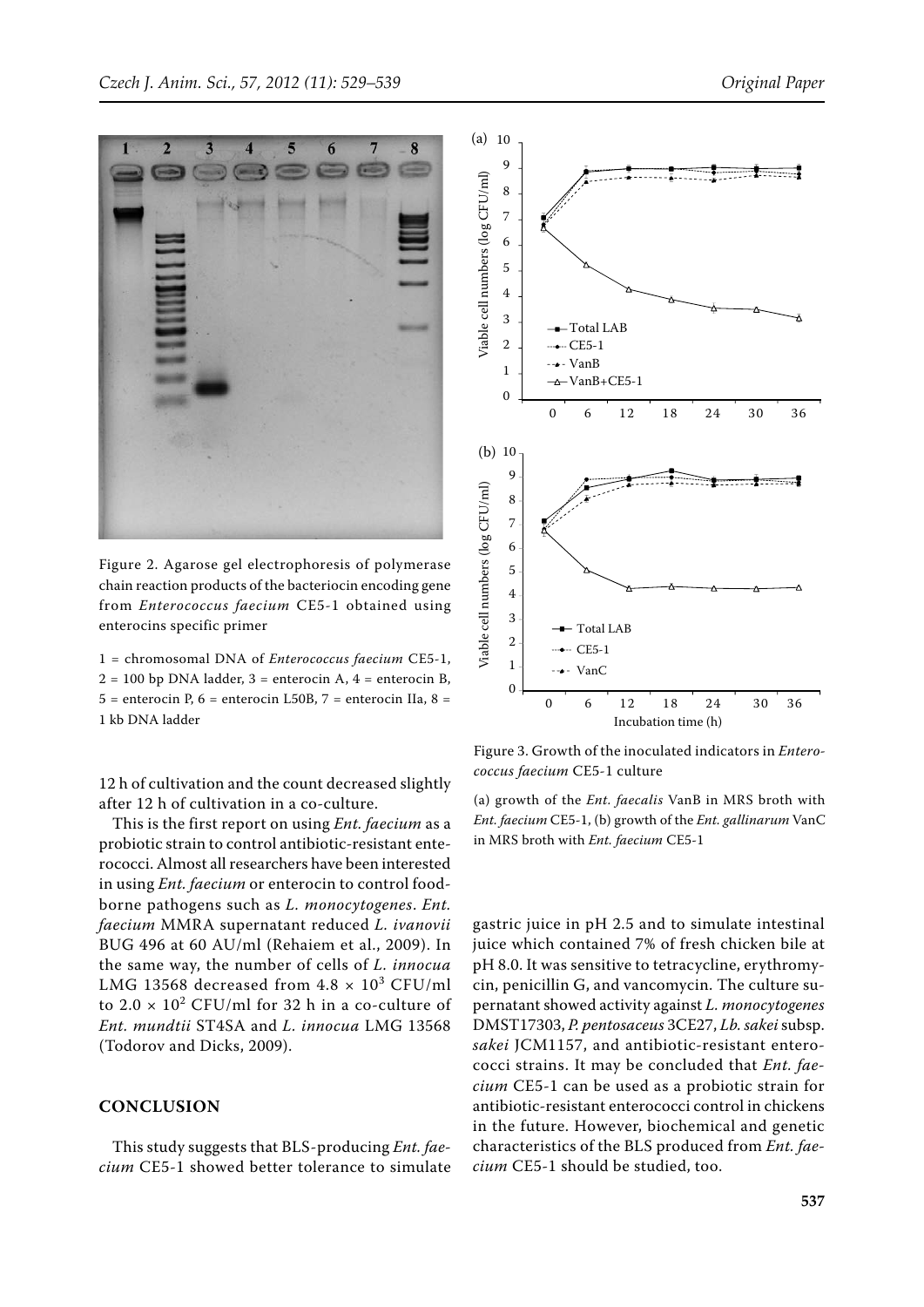

Figure 2. Agarose gel electrophoresis of polymerase chain reaction products of the bacteriocin encoding gene from *Enterococcus faecium* CE5-1 obtained using enterocins specific primer

1 = chromosomal DNA of *Enterococcus faecium* CE5-1,  $2 = 100$  bp DNA ladder,  $3 =$  enterocin A,  $4 =$  enterocin B,  $5 =$  enterocin P,  $6 =$  enterocin L50B,  $7 =$  enterocin IIa,  $8 =$ 1 kb DNA ladder

12 h of cultivation and the count decreased slightly after 12 h of cultivation in a co-culture.

This is the first report on using *Ent. faecium* as a probiotic strain to control antibiotic-resistant enterococci. Almost all researchers have been interested in using *Ent. faecium* or enterocin to control foodborne pathogens such as *L. monocytogenes*. *Ent. faecium* MMRA supernatant reduced *L. ivanovii* BUG 496 at 60 AU/ml (Rehaiem et al., 2009). In the same way, the number of cells of *L. innocua* LMG 13568 decreased from  $4.8 \times 10^3$  CFU/ml to  $2.0 \times 10^2$  CFU/ml for 32 h in a co-culture of *Ent. mundtii* ST4SA and *L. innocua* LMG 13568 (Todorov and Dicks, 2009).

#### **CONCLUSION**

This study suggests that BLS-producing *Ent. faecium* CE5-1 showed better tolerance to simulate



Figure 3. Growth of the inoculated indicators in *Enterococcus faecium* CE5-1 culture

(a) growth of the *Ent. faecalis* VanB in MRS broth with *Ent. faecium* CE5-1, (b) growth of the *Ent. gallinarum* VanC in MRS broth with *Ent. faecium* CE5-1

**Figure 2** *cium* CE5-1 should be studied, too.gastric juice in pH 2.5 and to simulate intestinal juice which contained 7% of fresh chicken bile at pH 8.0. It was sensitive to tetracycline, erythromycin, penicillin G, and vancomycin. The culture supernatant showed activity against *L. monocytogenes* DMST17303, *P. pentosaceus* 3CE27, *Lb. sakei* subsp. *sakei* JCM1157, and antibiotic-resistant enterococci strains. It may be concluded that *Ent. faecium* CE5-1 can be used as a probiotic strain for antibiotic-resistant enterococci control in chickens in the future. However, biochemical and genetic characteristics of the BLS produced from *Ent. fae-*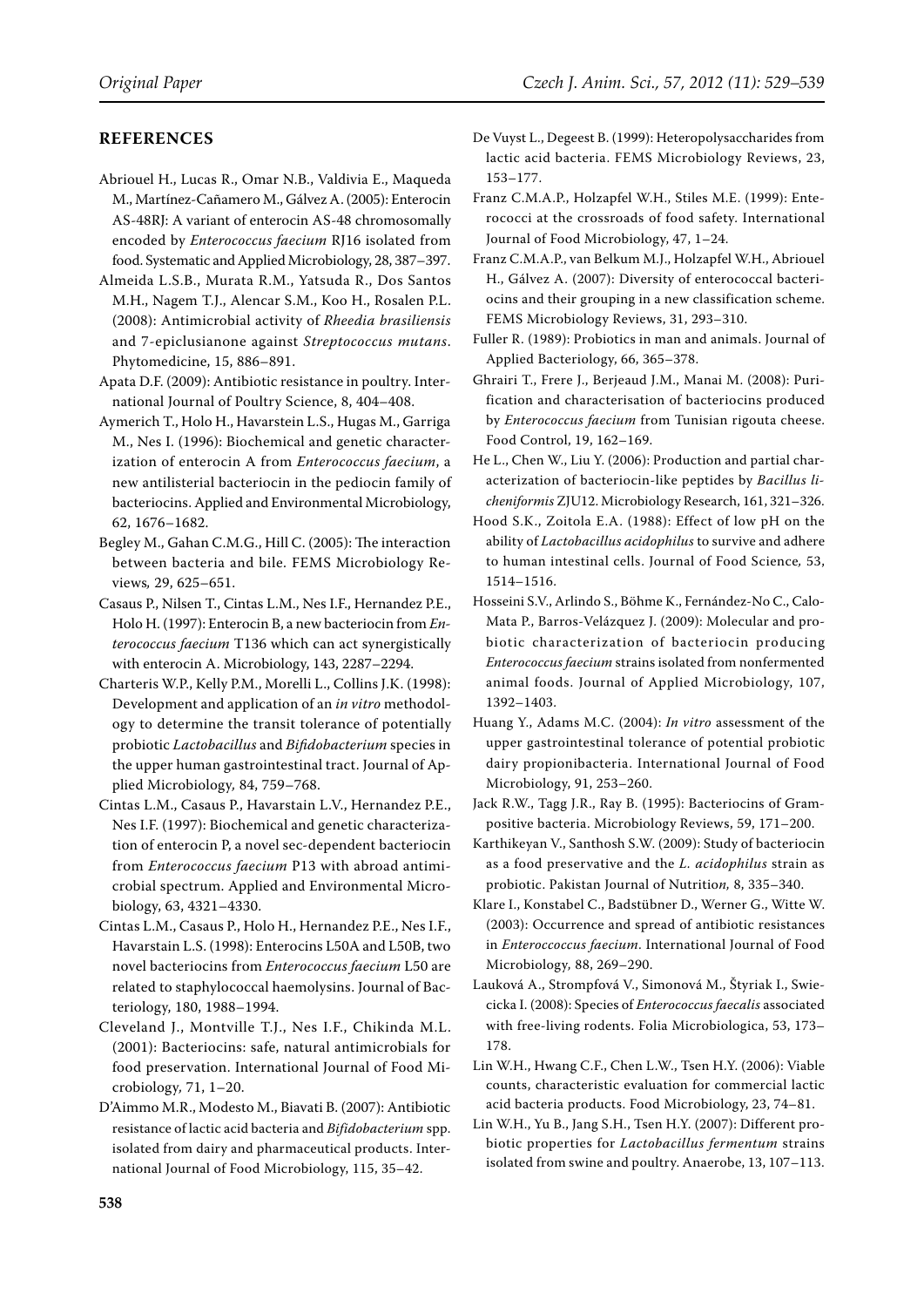# **REFERENCES**

- Abriouel H., Lucas R., Omar N.B., Valdivia E., Maqueda M., Martínez-Cañamero M., Gálvez A. (2005): Enterocin AS-48RJ: A variant of enterocin AS-48 chromosomally encoded by *Enterococcus faecium* RJ16 isolated from food. Systematic and Applied Microbiology, 28, 387–397.
- Almeida L.S.B., Murata R.M., Yatsuda R., Dos Santos M.H., Nagem T.J., Alencar S.M., Koo H., Rosalen P.L. (2008): Antimicrobial activity of *Rheedia brasiliensis* and 7-epiclusianone against *Streptococcus mutans*. Phytomedicine, 15, 886–891.
- Apata D.F. (2009): Antibiotic resistance in poultry. International Journal of Poultry Science, 8, 404–408.
- Aymerich T., Holo H., Havarstein L.S., Hugas M., Garriga M., Nes I. (1996): Biochemical and genetic characterization of enterocin A from *Enterococcus faecium*, a new antilisterial bacteriocin in the pediocin family of bacteriocins. Applied and Environmental Microbiology, 62, 1676–1682.
- Begley M., Gahan C.M.G., Hill C. (2005): The interaction between bacteria and bile. FEMS Microbiology Reviews*,* 29, 625–651.
- Casaus P., Nilsen T., Cintas L.M., Nes I.F., Hernandez P.E., Holo H. (1997): Enterocin B, a new bacteriocin from *Enterococcus faecium* T136 which can act synergistically with enterocin A. Microbiology, 143, 2287–2294.
- Charteris W.P., Kelly P.M., Morelli L., Collins J.K. (1998): Development and application of an *in vitro* methodology to determine the transit tolerance of potentially probiotic *Lactobacillus* and *Bifidobacterium* species in the upper human gastrointestinal tract. Journal of Applied Microbiology*,* 84, 759–768.
- Cintas L.M., Casaus P., Havarstain L.V., Hernandez P.E., Nes I.F. (1997): Biochemical and genetic characterization of enterocin P, a novel sec-dependent bacteriocin from *Enterococcus faecium* P13 with abroad antimicrobial spectrum. Applied and Environmental Microbiology, 63, 4321–4330.
- Cintas L.M., Casaus P., Holo H., Hernandez P.E., Nes I.F., Havarstain L.S. (1998): Enterocins L50A and L50B, two novel bacteriocins from *Enterococcus faecium* L50 are related to staphylococcal haemolysins. Journal of Bacteriology, 180, 1988–1994.
- Cleveland J., Montville T.J., Nes I.F., Chikinda M.L. (2001): Bacteriocins: safe, natural antimicrobials for food preservation. International Journal of Food Microbiology*,* 71, 1–20.
- D'Aimmo M.R., Modesto M., Biavati B. (2007): Antibiotic resistance of lactic acid bacteria and *Bifidobacterium* spp. isolated from dairy and pharmaceutical products. International Journal of Food Microbiology, 115, 35–42.
- De Vuyst L., Degeest B. (1999): Heteropolysaccharides from lactic acid bacteria. FEMS Microbiology Reviews, 23, 153–177.
- Franz C.M.A.P., Holzapfel W.H., Stiles M.E. (1999): Enterococci at the crossroads of food safety. International Journal of Food Microbiology, 47, 1–24.
- Franz C.M.A.P., van Belkum M.J., Holzapfel W.H., Abriouel H., Gálvez A. (2007): Diversity of enterococcal bacteriocins and their grouping in a new classification scheme. FEMS Microbiology Reviews, 31, 293–310.
- Fuller R. (1989): Probiotics in man and animals. Journal of Applied Bacteriology, 66, 365–378.
- Ghrairi T., Frere J., Berjeaud J.M., Manai M. (2008): Purification and characterisation of bacteriocins produced by *Enterococcus faecium* from Tunisian rigouta cheese. Food Control, 19, 162–169.
- He L., Chen W., Liu Y. (2006): Production and partial characterization of bacteriocin-like peptides by *Bacillus licheniformis* ZJU12. Microbiology Research, 161, 321–326.
- Hood S.K., Zoitola E.A. (1988): Effect of low pH on the ability of *Lactobacillus acidophilus* to survive and adhere to human intestinal cells. Journal of Food Science*,* 53, 1514–1516.
- Hosseini S.V., Arlindo S., Böhme K., Fernández-No C., Calo-Mata P., Barros-Velázquez J. (2009): Molecular and probiotic characterization of bacteriocin producing *Enterococcus faecium* strains isolated from nonfermented animal foods. Journal of Applied Microbiology, 107, 1392–1403.
- Huang Y., Adams M.C. (2004): *In vitro* assessment of the upper gastrointestinal tolerance of potential probiotic dairy propionibacteria. International Journal of Food Microbiology, 91, 253–260.
- Jack R.W., Tagg J.R., Ray B. (1995): Bacteriocins of Grampositive bacteria. Microbiology Reviews, 59, 171–200.
- Karthikeyan V., Santhosh S.W. (2009): Study of bacteriocin as a food preservative and the *L. acidophilus* strain as probiotic. Pakistan Journal of Nutritio*n,* 8, 335–340.
- Klare I., Konstabel C., Badstübner D., Werner G., Witte W. (2003): Occurrence and spread of antibiotic resistances in *Enteroccoccus faecium*. International Journal of Food Microbiology*,* 88, 269–290.
- Lauková A., Strompfová V., Simonová M., Štyriak I., Swiecicka I. (2008): Species of *Enterococcus faecalis* associated with free-living rodents. Folia Microbiologica, 53, 173– 178.
- Lin W.H., Hwang C.F., Chen L.W., Tsen H.Y. (2006): Viable counts, characteristic evaluation for commercial lactic acid bacteria products. Food Microbiology, 23, 74–81.
- Lin W.H., Yu B., Jang S.H., Tsen H.Y. (2007): Different probiotic properties for *Lactobacillus fermentum* strains isolated from swine and poultry. Anaerobe, 13, 107–113.